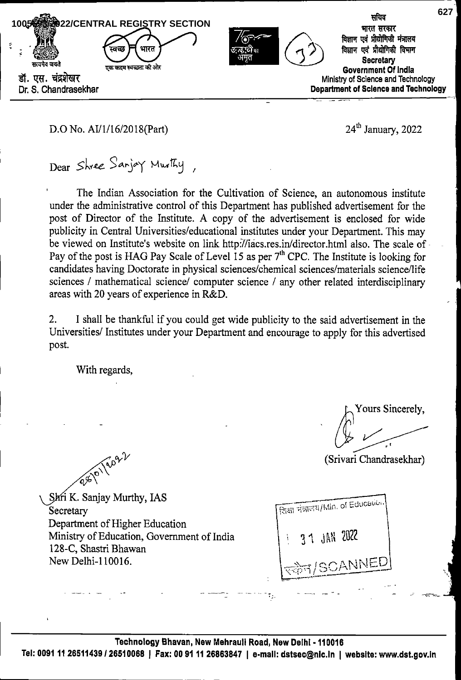

# D.O No. AI/1/16/2018(Part) 24<sup>th</sup> January, 2022

Dear Shree Sanjoy Murthy

The Indian Association for the Cultivation of Science, an autonomous institute under the administrative control of this Department has published advertisement for the post of Director of the Institute. A copy of the advertisement is enclosed for wide publicity in Central Universities/educational institutes under your Department. This may be viewed on Institute's website on link http:7/iacs.res.in/director.html also. The scale of Pay of the post is HAG Pay Scale of Level 15 as per  $7<sup>th</sup>$  CPC. The Institute is looking for candidates having Doctorate in physical sciences/chemical sciences/materials science/life sciences / mathematical science/ computer science / any other related interdisciplinary areas with 20 years of experience in R&D.

I shall be thankful if you could get wide publicity to the said advertisement in the Universities/ Institutes under your Department and encourage to apply for this advertised post. 2.

With regards,

Yours Sincerely,

(Srivari Chandrasekhar)

 $\hat{\mathcal{N}}$ 

Shri K. Sanjay Murthy, IAS Secretary Department of Higher Education Ministry of Education, Government of India 128-C, Shastri Bhawan New Delhi-110016.

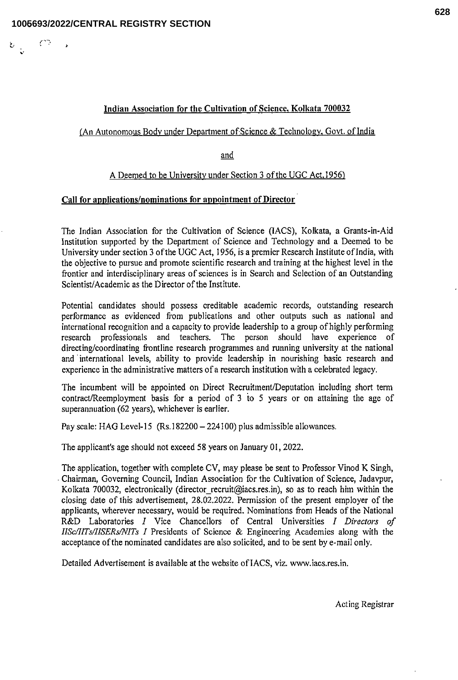$\checkmark$ 

 $\mathcal{C}^{\infty}$  .

# Indian Association for the Cultivation of Science, Kolkata 700032

# (An Autonomous Body under Department of Science & Technology, Govt. of India

and

# A Deemed to be University under Section 3 of the UGC Act. 1956')

# Call for applications/nominations for appointment of Director

The Indian Association for the Cultivation of Science (lACS), Kolkata, a Grants-in-Aid Institution supported by the Department of Science and Technology and a Deemed to be University under section 3 ofthe UGC Act, 1956, is a premier Research Institute of India, with the objective to pursue and promote scientific research and training at the highest level in the frontier and interdisciplinary areas of sciences is in Search and Selection of an Outstanding Scientist/Academic as the Director of the Institute.

Potential candidates should possess creditable academic records, outstanding research performance as evidenced from publications and other outputs such as national and international recognition and a capacity to provide leadership to a group of highly performing research professionals and teachers. The person should have experience of directing/coordinating frontline research programmes and running university at the national and international levels, ability to provide leadership in nourishing basic research and experience in the administrative matters of a research institution with a celebrated legacy.

The incumbent will be appointed on Direct Recruitment/Deputation including short term contract/Reemployment basis for a period of 3 to 5 years or on attaining the age of superannuation (62 years), whichever is earlier.

Pay scale: HAG Level-15 (Rs. 182200 - 224100) plus admissible allowances.

The applicant's age should not exceed 58 years on January 01, 2022.

The application, together with complete CV, may please be sent to Professor Vinod K Singh, - Chairman, Governing Council, Indian Association for the Cultivation of Science, Jadavpur, Kolkata 700032, electronically (director recruit@iacs.res.in), so as to reach him within the closing date of this advertisement, 28.02.2022. Permission of the present employer of the applicants, wherever necessary, would be required. Nominations from Heads of the National R&D Laboratories I Vice Chancellors of Central Universities I Directors of IISc/lITs/IlSERs/NITs I Presidents of Science & Engineering Academies along with the acceptance of the nominated candidates are also solicited, and to be sent by e-mail only.

Detailed Advertisement is available at the website of lACS, viz. www.iacs.res.in.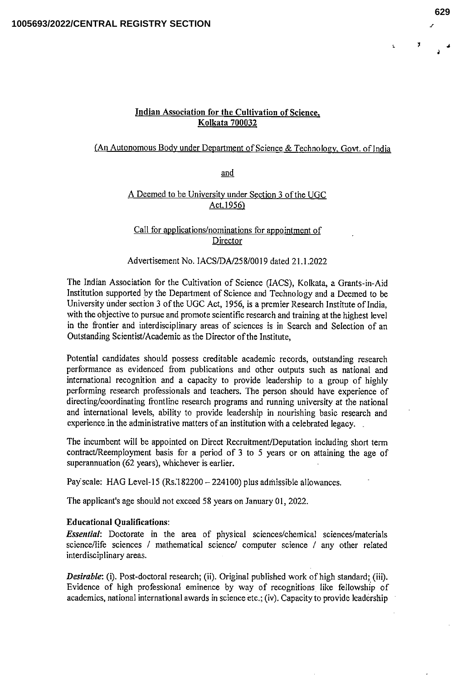÷,

 $\mathbf{r}$ 

### Indian Association for the Cultivation of Science. Kolkata 700032

# (An Autonomous Body under Department of Science & Technology, Govt, of India

and

## A Deemed to be University under Section 3 of the UGC Act.1956)

### Call for applications/nominations for appointment of Director

## Advertisement No. IACS/DA/258/0019 dated 21.1.2022

The Indian Association for the Cultivation of Science (lACS), Kolkata, a Grants-in-Aid Institution supported by the Department of Science and Technology and a Deemed to be University under section 3 of the UGC Act, 1956, is a premier Research Institute of India, with the objective to pursue and promote scientific research and training at the highest level in the frontier and interdisciplinary areas of sciences is in Search and Selection of an Outstanding Scientist/Academic as the Director of the Institute,

Potential candidates should possess creditable academic records, outstanding research performance as evidenced from publications and other outputs such as national and international recognition and a capacity to provide leadership to a group of highly performing research professionals and teachers. The person should have experience of directing/coordinating frontline research programs and running university at the national and international levels, ability to provide leadership in nourishing basic research and experience in the administrative matters of an institution with a celebrated legacy.

The incumbent will be appointed on Direct Recruitment/Deputation including short term contract/Reemployment basis for a period of 3 to 5 years or on attaining the age of superannuation (62 years), whichever is earlier.

Pay scale: HAG Level-15 (Rs.182200 - 224100) plus admissible allowances.

The applicant's age should not exceed 58 years on January 01, 2022.

#### Educational Qualiflcations:

Essential: Doctorate in the area of physical sciences/chemical sciences/materials science/life sciences / mathematical science/ computer science / any other related interdisciplinary areas.

Desirable: (i). Post-doctoral research; (ii). Original published work of high standard; (iii). Evidence of high professional eminence by way of recognitions like fellowship of academics, national international awards in science etc.; (iv). Capacity to provide leadership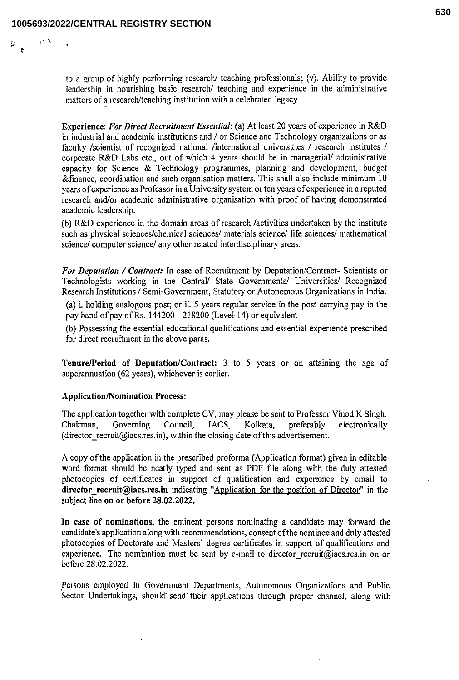r-'x

to a group of highly performing research/ teaching professionals; (v). Ability to provide leadership in nourishing basic research/ teaching and experience in the administrative matters of a research/teaching institution with a celebrated legacy

Experience: For Direct Recruitment Essential: (a) At least 20 years of experience in R&D in industrial and academic institutions and / or Science and Technology organizations or as faculty /scientist of recognized national /international universities / research institutes / corporate R&D Labs etc., out of which 4 years should be in managerial/ administrative capacity for Science & Technology programmes, planning and development, budget &finance, coordination and such organisation matters. This shall also include minimum 10 years of experience as Professor in a University system or ten years ofexperience in a reputed research and/or academic administrative organisation with proof of having demonstrated academic leadership,

(b) R&D experience in the domain areas of research /activities undertaken by the institute such as physical sciences/chemical sciences/ materials science/ life sciences/ mathematical science/ computer science/ any other related interdisciplinary areas.

For Deputation / Contract: In case of Recruitment by Deputation/Contract- Scientists or Technologists working in the Central/ State Governments/ Universities/ Recognized Research Institutions / Semi-Government, Statutory or Autonomous Organizations in India,

(a) i. holding analogous post; or ii. 5 years regular service in the post carrying pay in the pay band of pay of Rs. 144200 - 218200 (Level-14) or equivalent

(b) Possessing the essential educational qualifications and essential experience prescribed for direct recruitment in the above paras.

Tenure/Period of Deputation/Contract: 3 to 5 years or on attaining the age of superannuation (62 years), whichever is earlier.

#### Application/Nomination Process:

The application together with complete CV, may please be sent to Professor Vinod K Singh,<br>Chairman, Governing Council, IACS, Kolkata, preferably electronically IACS, Kolkata, preferably electronically (director recruit@iacs.res.in), within the closing date of this advertisement.

A copy of the application in the prescribed proforma (Application format) given in editable word format should be neatly typed and sent as PDF file along with the duly attested photocopies of certificates in support of qualification and experience by email to director\_recruit@iacs.res.in indicating "Application for the position of Director" in the subject line on or before 28.02.2022.

In case of nominations, the eminent persons nominating a candidate may forward the candidate's application along with recommendations, consent ofthe nominee and duly attested photocopies of Doctorate and Masters' degree certificates in support of qualifications and experience. The nomination must be sent by e-mail to director recruit@iacs.res.in on or before 28.02.2022.

Persons employed in Government Departments, Autonomous Organizations and Public Sector Undertakings, should send their applications through proper channel, along with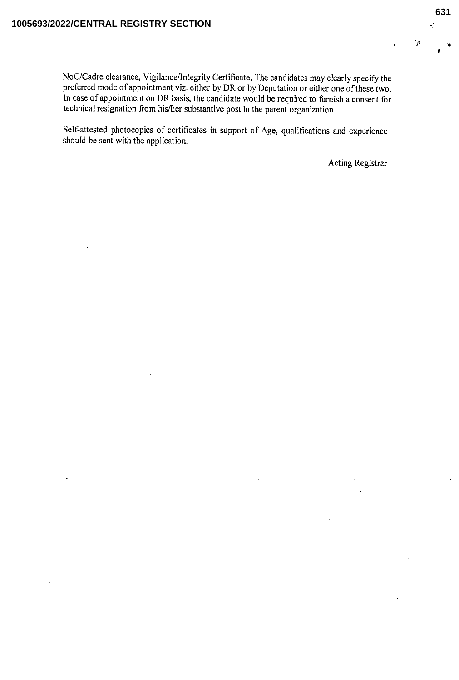NoC/Cadre clearance, Vigilance/Integrity Certificate. The candidates may clearly specify the preferred mode of appointment viz. either by DR or by Deputation or either one ofthese two. In case of appointment on DR basis, the candidate would be required to furnish a consent for technical resignation from his/her substantive post in the parent organization

Self-attested photocopies of certificates in support of Age, qualifications and experience should be sent with the application.

Acting Registrar

i

 $\mathbf{r}^{\prime}$ 

ام '

 $\mathbf{a}$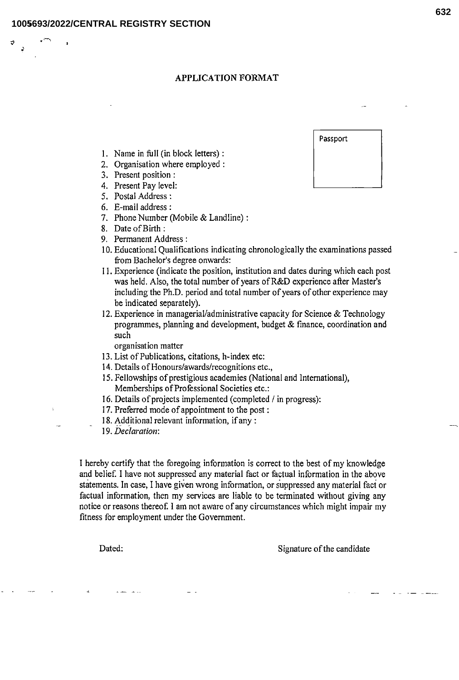•0

### APPLICATION FORMAT

- 1. Name in full (in block letters) :
- 2. Organisation where employed :
- 3. Present position :
- 4. Present Pay level:
- 5. Postal Address:
- 6. E-mail address:
- 7. Phone Number (Mobile & Landline):
- 8. Date of Birth :
- 9. Permanent Address:
- 10. Educational Qualifications indicating chronologically the examinations passed from Bachelor's degree onwards:
- 11. Experience (indicate the position, institution and dates during which each post was held. Also, the total number of years of R&D experience after Master's including the Ph.D. period and total number of years of other experience may be indicated separately).
- 12. Experience in managerial/administrative capacity for Science & Technology programmes, planning and development, budget & finance, coordination and such

organisation matter

- 13. List of Publications, citations, h-index etc:
- 14. Details of Honours/awards/recognitions etc.,
- 15. Fellowships of prestigious academies (National and International), Memberships of Professional Societies etc.:
- 16. Details of projects implemented (completed / in progress):
- 17. Preferred mode of appointment to the post:
- 18. Additional relevant information, if any :
- 19. Declaration'.

I hereby certify that the foregoing information is correct to the best of my knowledge and belief. I have not suppressed any material fact or factual information in the above statements. In case, I have given wrong information, or suppressed any material fact or factual information, then my services are liable to be terminated without giving any notice or reasons thereof. I am not aware of any circumstances which might impair my fitness for employment under the Government.

Dated: Signature of the candidate

Passport